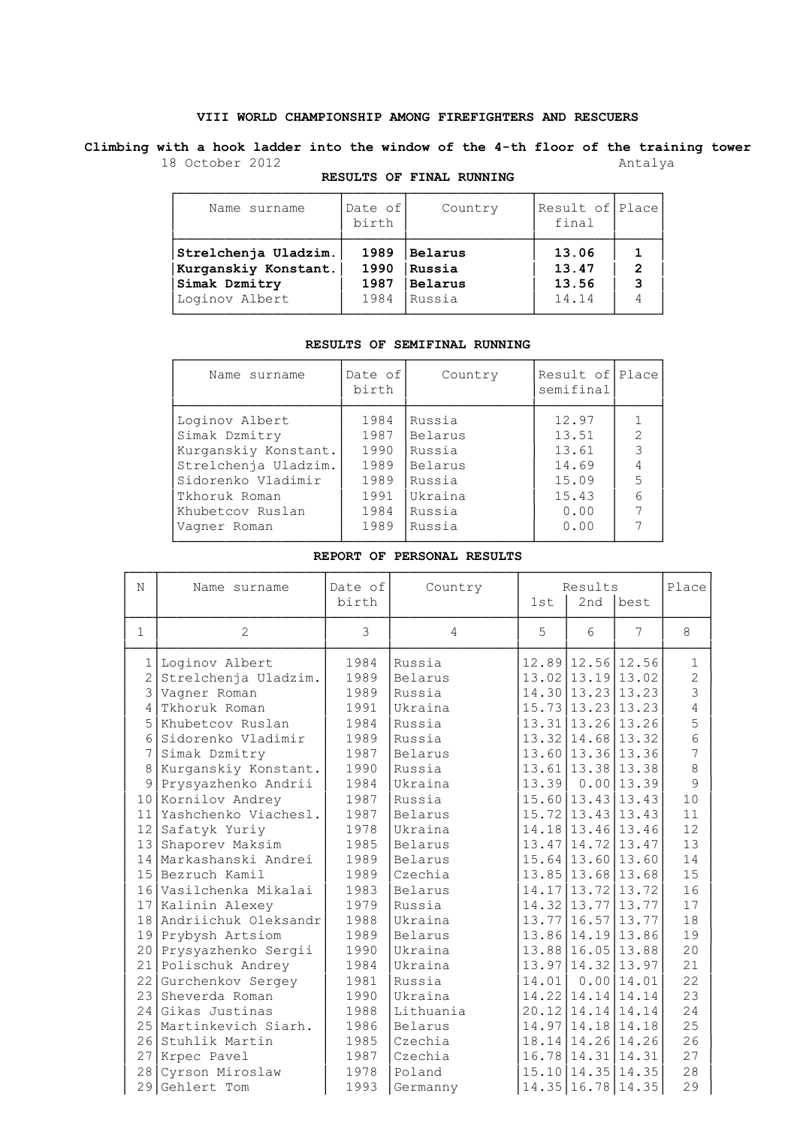## **VIII WORLD CHAMPIONSHIP AMONG FIREFIGHTERS AND RESCUERS**

**Climbing with a hook ladder into the window of the 4-th floor of the training tower** 18 October 2012 **Antalya** 

| Name surname                                                                    | Date of<br>Country<br>birth  |                                               | Result of Place<br>final         |                     |  |
|---------------------------------------------------------------------------------|------------------------------|-----------------------------------------------|----------------------------------|---------------------|--|
| Strelchenja Uladzim.<br>Kurganskiy Konstant.<br>Simak Dzmitry<br>Loginov Albert | 1989<br>1990<br>1987<br>1984 | <b>Belarus</b><br>Russia<br>Belarus<br>Russia | 13.06<br>13.47<br>13.56<br>14.14 | $\overline{2}$<br>3 |  |

## **RESULTS OF FINAL RUNNING**

## **RESULTS OF SEMIFINAL RUNNING**

| Name surname                                                                    | Date of<br>birth             | Country                                | Result of Place<br>semifinal     |                                       |
|---------------------------------------------------------------------------------|------------------------------|----------------------------------------|----------------------------------|---------------------------------------|
| Loginov Albert<br>Simak Dzmitry<br>Kurganskiy Konstant.<br>Strelchenja Uladzim. | 1984<br>1987<br>1990<br>1989 | Russia<br>Belarus<br>Russia<br>Belarus | 12.97<br>13.51<br>13.61<br>14.69 | $\overline{2}$<br>3<br>$\overline{4}$ |
| Sidorenko Vladimir<br>Tkhoruk Roman                                             | 1989<br>1991                 | Russia<br>Ukraina                      | 15.09<br>15.43                   | 5<br>6<br>7                           |
| Khubetcov Ruslan<br>Vagner Roman                                                | 1984<br>1989                 | Russia<br>Russia                       | 0.00<br>0.00                     |                                       |

#### **REPORT OF PERSONAL RESULTS**

| N                                                                                                                                           | Name surname                                                                                                                                                                                                                                                                                                                                                                                                                                                                                                                | Date of<br>birth                                                                                                                                                                             | Country                                                                                                                                                                                                                                                        | 1st   | Results<br>2nd                                                                                                                                  | best                                                                                                                                                                                                                                                                                                                                                                                                                                               | Place                                                                                                                                                             |
|---------------------------------------------------------------------------------------------------------------------------------------------|-----------------------------------------------------------------------------------------------------------------------------------------------------------------------------------------------------------------------------------------------------------------------------------------------------------------------------------------------------------------------------------------------------------------------------------------------------------------------------------------------------------------------------|----------------------------------------------------------------------------------------------------------------------------------------------------------------------------------------------|----------------------------------------------------------------------------------------------------------------------------------------------------------------------------------------------------------------------------------------------------------------|-------|-------------------------------------------------------------------------------------------------------------------------------------------------|----------------------------------------------------------------------------------------------------------------------------------------------------------------------------------------------------------------------------------------------------------------------------------------------------------------------------------------------------------------------------------------------------------------------------------------------------|-------------------------------------------------------------------------------------------------------------------------------------------------------------------|
| $\mathbf{1}$                                                                                                                                | $\overline{2}$                                                                                                                                                                                                                                                                                                                                                                                                                                                                                                              | 3                                                                                                                                                                                            | 4                                                                                                                                                                                                                                                              | 5     | 6                                                                                                                                               | 7                                                                                                                                                                                                                                                                                                                                                                                                                                                  | 8                                                                                                                                                                 |
| 1<br>$\overline{c}$<br>$\overline{\mathcal{E}}$<br>4<br>5<br>6<br>7<br>8<br>9<br>11 <sup>1</sup><br>13 <sup>1</sup><br>20<br>21<br>22<br>23 | Loginov Albert<br>Strelchenja Uladzim.<br>Vagner Roman<br>Tkhoruk Roman<br>Khubetcov Ruslan<br>Sidorenko Vladimir<br>Simak Dzmitry<br>Kurganskiy Konstant.<br>Prysyazhenko Andrii<br>10 Kornilov Andrey<br>Yashchenko Viachesl.<br>12 Safatyk Yuriy<br>Shaporev Maksim<br>14 Markashanski Andrei<br>15 Bezruch Kamil<br>16 Vasilchenka Mikalai<br>17 Kalinin Alexey<br>18 Andriichuk Oleksandr<br>19 Prybysh Artsiom<br>Prysyazhenko Sergii<br>Polischuk Andrey<br>Gurchenkov Sergey<br>Sheverda Roman<br>24 Gikas Justinas | 1984<br>1989<br>1989<br>1991<br>1984<br>1989<br>1987<br>1990<br>1984<br>1987<br>1987<br>1978<br>1985<br>1989<br>1989<br>1983<br>1979<br>1988<br>1989<br>1990<br>1984<br>1981<br>1990<br>1988 | Russia<br>Belarus<br>Russia<br>Ukraina<br>Russia<br>Russia<br>Belarus<br>Russia<br>Ukraina<br>Russia<br>Belarus<br>Ukraina<br>Belarus<br>Belarus<br>Czechia<br>Belarus<br>Russia<br>Ukraina<br>Belarus<br>Ukraina<br>Ukraina<br>Russia<br>Ukraina<br>Lithuania | 14.01 | $15.73 \mid 13.23 \mid 13.23$<br>13.31 13.26 13.26<br>$13.77$   16.57  13.77<br>13.86 14.19 13.86<br>13.88 16.05 13.88<br>13.97   14.32   13.97 | 12.89 12.56 12.56<br>$13.02$   $13.19$   $13.02$<br>14.30 13.23 13.23<br>13.32   14.68   13.32<br>13.60 13.36 13.36<br>$13.61$   13.38   13.38<br>$13.39$ 0.00 13.39<br>$15.60 \mid 13.43 \mid 13.43$<br>$15.72$   13.43   13.43<br>14.18 13.46 13.46<br>$13.47$   14.72   13.47<br>$15.64 \mid 13.60 \mid 13.60$<br>13.85 13.68 13.68<br>14.17 13.72 13.72<br>14.32 13.77 13.77<br>$0.00$ 14.01<br>14.22   14.14   14.14<br>20.12   14.14   14.14 | $\mathbf{1}$<br>$\overline{2}$<br>3<br>4<br>5<br>6<br>7<br>$\,8\,$<br>9<br>10<br>11<br>12<br>13<br>14<br>15<br>16<br>17<br>18<br>19<br>20<br>21<br>22<br>23<br>24 |
| 271<br>28<br>29                                                                                                                             | 25 Martinkevich Siarh.<br>26 Stuhlik Martin<br>Krpec Pavel<br>Cyrson Miroslaw<br>Gehlert Tom                                                                                                                                                                                                                                                                                                                                                                                                                                | 1986<br>1985<br>1987<br>1978<br>1993                                                                                                                                                         | Belarus<br>Czechia<br>Czechia<br>Poland<br>Germanny                                                                                                                                                                                                            |       |                                                                                                                                                 | 14.97 14.18 14.18<br>18.14   14.26   14.26<br>16.78 14.31 14.31<br>$15.10 \mid 14.35 \mid 14.35$<br>14.35 16.78 14.35                                                                                                                                                                                                                                                                                                                              | 25<br>26<br>27<br>28<br>29                                                                                                                                        |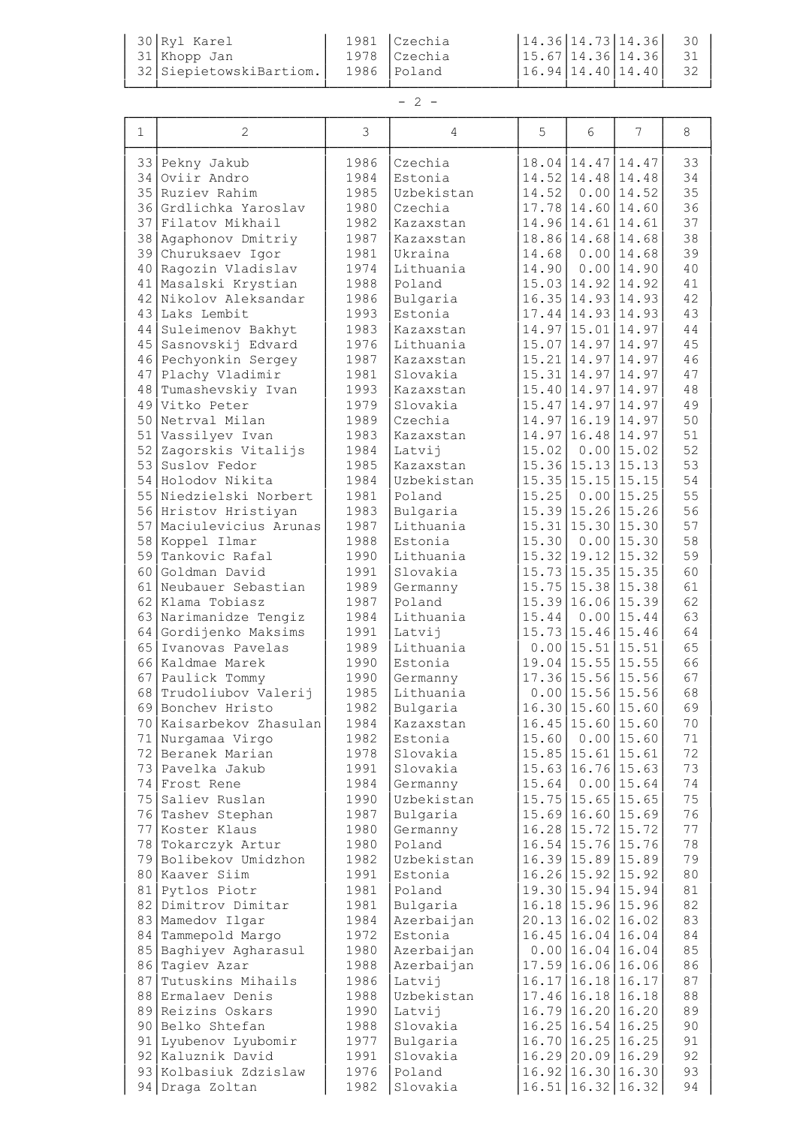| $30$ Ryl Karel          | 1981   Czechia |  | $\begin{bmatrix} 14.36 \end{bmatrix}$ 14.73   14.36   30 |    |
|-------------------------|----------------|--|----------------------------------------------------------|----|
| $31$ Khopp Jan          | 1978  Czechia  |  | $15.67$ 14.36 14.36                                      |    |
| 32 SiepietowskiBartiom. | 1986 Poland    |  | $16.94 \mid 14.40 \mid 14.40 \mid$                       | 32 |
|                         |                |  |                                                          |    |

# $- 2 -$

| 1        | 2                                       | 3            | 4                     | 5              | 6                                                        | 7                             | 8        |
|----------|-----------------------------------------|--------------|-----------------------|----------------|----------------------------------------------------------|-------------------------------|----------|
|          | 33 Pekny Jakub                          | 1986         | Czechia               |                | 18.04 14.47 14.47                                        |                               | 33       |
| 34       | Oviir Andro                             | 1984         | Estonia               |                | 14.52 14.48 14.48                                        |                               | 34       |
|          | 35 Ruziev Rahim                         | 1985         | Uzbekistan            | 14.52          |                                                          | $0.00$ 14.52                  | 35       |
|          | 36 Grdlichka Yaroslav                   | 1980         | Czechia               |                | $17.78$   14.60   14.60                                  |                               | 36       |
|          | 37 Filatov Mikhail                      | 1982         | Kazaxstan             |                | 14.96 14.61 14.61                                        |                               | 37       |
|          | 38 Agaphonov Dmitriy                    | 1987         | Kazaxstan             |                | 18.86 14.68 14.68                                        | $0.00$ 14.68                  | 38       |
| 40       | 39 Churuksaev Igor<br>Ragozin Vladislav | 1981<br>1974 | Ukraina<br>Lithuania  | 14.68<br>14.90 |                                                          | $0.00$ 14.90                  | 39<br>40 |
| 41       | Masalski Krystian                       | 1988         | Poland                |                |                                                          | 15.03 14.92 14.92             | 41       |
| 42       | Nikolov Aleksandar                      | 1986         | Bulgaria              |                |                                                          | 16.35   14.93   14.93         | 42       |
| 43       | Laks Lembit                             | 1993         | Estonia               |                | $17.44 \mid 14.93 \mid 14.93$                            |                               | 43       |
| 44       | Suleimenov Bakhyt                       | 1983         | Kazaxstan             |                | 14.97 15.01 14.97                                        |                               | 44       |
|          | 45 Sasnovskij Edvard                    | 1976         | Lithuania             |                | $15.07 \mid 14.97 \mid 14.97$                            |                               | 45       |
|          | 46 Pechyonkin Sergey                    | 1987         | Kazaxstan             |                |                                                          | $15.21 \mid 14.97 \mid 14.97$ | 46       |
| 47       | Plachy Vladimir                         | 1981         | Slovakia              |                | $15.31 \mid 14.97 \mid 14.97$                            |                               | 47       |
| 48       | Tumashevskiy Ivan                       | 1993         | Kazaxstan             |                | 15.40   14.97   14.97                                    |                               | 48       |
| 49       | Vitko Peter                             | 1979         | Slovakia              |                | $15.47 \mid 14.97 \mid 14.97$                            |                               | 49       |
| 50<br>51 | Netryal Milan<br>Vassilyev Ivan         | 1989<br>1983 | Czechia<br>Kazaxstan  |                | 14.97 16.19 14.97<br>14.97 16.48 14.97                   |                               | 50<br>51 |
| 52       | Zagorskis Vitalijs                      | 1984         | Latvij                | 15.02          |                                                          | $0.00$ 15.02                  | 52       |
| 53       | Suslov Fedor                            | 1985         | Kazaxstan             |                | $15.36 \mid 15.13 \mid 15.13$                            |                               | 53       |
|          | 54 Holodov Nikita                       | 1984         | Uzbekistan            |                | $15.35 \mid 15.15 \mid 15.15$                            |                               | 54       |
|          | 55 Niedzielski Norbert                  | 1981         | Poland                | 15.25          |                                                          | $0.00$ 15.25                  | 55       |
|          | 56 Hristov Hristiyan                    | 1983         | Bulgaria              |                | 15.39 15.26 15.26                                        |                               | 56       |
|          | 57 Maciulevicius Arunas                 | 1987         | Lithuania             |                |                                                          | $15.31 \mid 15.30 \mid 15.30$ | 57       |
|          | 58 Koppel Ilmar                         | 1988         | Estonia               | 15.30          |                                                          | $0.00$ 15.30                  | 58       |
| 59       | Tankovic Rafal                          | 1990         | Lithuania             |                |                                                          | $15.32$   19.12   15.32       | 59       |
| 60       | Goldman David                           | 1991         | Slovakia              |                |                                                          | $15.73 \mid 15.35 \mid 15.35$ | 60       |
| 61       | Neubauer Sebastian                      | 1989         | Germanny              |                | $15.75$ 15.38 15.38                                      |                               | 61       |
| 62       | Klama Tobiasz<br>63 Narimanidze Tengiz  | 1987<br>1984 | Poland<br>Lithuania   | 15.44          | $15.39 \mid 16.06 \mid 15.39$                            | $0.00$ 15.44                  | 62<br>63 |
|          | 64 Gordijenko Maksims                   | 1991         | Latvij                |                | 15.73 15.46 15.46                                        |                               | 64       |
| 65       | Ivanovas Pavelas                        | 1989         | Lithuania             |                | $0.00$ 15.51 15.51                                       |                               | 65       |
|          | 66 Kaldmae Marek                        | 1990         | Estonia               |                | $19.04 \mid 15.55 \mid 15.55$                            |                               | 66       |
| 67       | Paulick Tommy                           | 1990         | Germanny              |                |                                                          | 17.36   15.56   15.56         | 67       |
| 68       | Trudoliubov Valerij                     | 1985         | Lithuania             |                | $0.00$ 15.56 15.56                                       |                               | 68       |
|          | 69 Bonchev Hristo                       | 1982         | Bulgaria              |                |                                                          | 16.30   15.60   15.60         | 69       |
|          | 70 Kaisarbekov Zhasulan                 | 1984         | Kazaxstan             |                | $16.45$   15.60   15.60                                  |                               | 70       |
|          | 71 Nurgamaa Virgo                       | 1982         | Estonia               | 15.60          |                                                          | $0.00$ 15.60                  | 71       |
|          | 72 Beranek Marian                       | 1978         | Slovakia              |                | $15.85$   15.61   15.61<br>$15.63 \mid 16.76 \mid 15.63$ |                               | 72       |
|          | 73 Pavelka Jakub<br>74 Frost Rene       | 1991<br>1984 | Slovakia<br>Germanny  | 15.64          |                                                          | $0.00$ 15.64                  | 73<br>74 |
|          | 75 Saliev Ruslan                        | 1990         | Uzbekistan            |                | $15.75$ 15.65 15.65                                      |                               | 75       |
| 76       | Tashev Stephan                          | 1987         | Bulgaria              |                | $15.69$ 16.60 15.69                                      |                               | 76       |
| 77       | Koster Klaus                            | 1980         | Germanny              |                | 16.28   15.72   15.72                                    |                               | 77       |
| 78       | Tokarczyk Artur                         | 1980         | Poland                |                | 16.54 15.76 15.76                                        |                               | 78       |
| 79       | Bolibekov Umidzhon                      | 1982         | Uzbekistan            |                | 16.39 15.89                                              | 15.89                         | 79       |
| 80       | Kaaver Siim                             | 1991         | Estonia               |                | 16.26 15.92                                              | 15.92                         | 80       |
| 81       | Pytlos Piotr                            | 1981         | Poland                |                | 19.30   15.94   15.94                                    |                               | 81       |
|          | 82 Dimitrov Dimitar                     | 1981         | Bulgaria              |                | 16.18 15.96 15.96                                        |                               | 82       |
|          | 83 Mamedov Ilgar<br>84 Tammepold Margo  | 1984<br>1972 | Azerbaijan<br>Estonia |                | 20.13 16.02 16.02<br>$16.45$   16.04  16.04              |                               | 83<br>84 |
|          | 85 Baghiyev Agharasul                   | 1980         | Azerbaijan            |                | $0.00$ 16.04 16.04                                       |                               | 85       |
| 86       | Tagiev Azar                             | 1988         | Azerbaijan            |                | 17.59 16.06 16.06                                        |                               | 86       |
| 87       | Tutuskins Mihails                       | 1986         | Latvij                |                | 16.17 16.18                                              | 16.17                         | 87       |
|          | 88 Ermalaev Denis                       | 1988         | Uzbekistan            |                | 17.46 16.18                                              | 16.18                         | 88       |
|          | 89 Reizins Oskars                       | 1990         | Latvij                |                | 16.79 16.20                                              | 16.20                         | 89       |
|          | 90 Belko Shtefan                        | 1988         | Slovakia              |                | $16.25 \mid 16.54 \mid 16.25$                            |                               | 90       |
|          | 91 Lyubenov Lyubomir                    | 1977         | Bulgaria              |                | $16.70$ 16.25 16.25                                      |                               | 91       |
|          | 92 Kaluznik David                       | 1991         | Slovakia              |                | 16.29 20.09 16.29                                        |                               | 92       |
|          | 93 Kolbasiuk Zdzislaw                   | 1976         | Poland                |                | 16.92 16.30 16.30                                        |                               | 93       |
|          | 94 Draga Zoltan                         | 1982         | Slovakia              |                |                                                          | 16.51   16.32   16.32         | 94       |